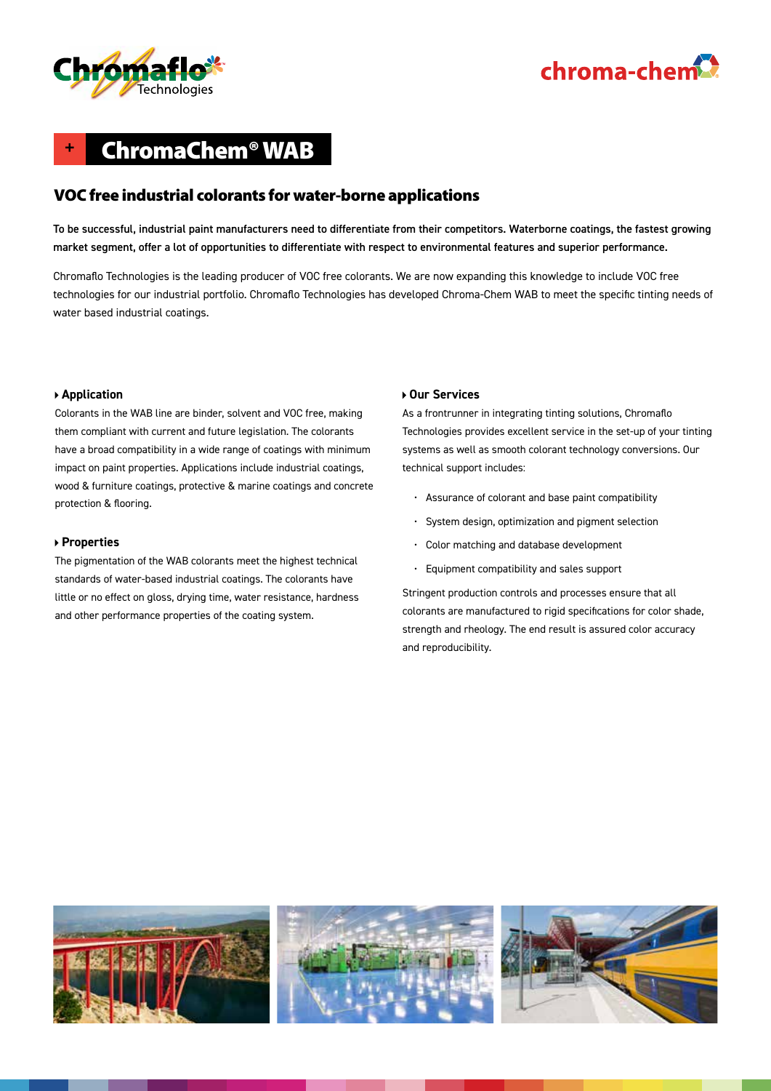

# chroma-chem<sup>2</sup>

### **+** ChromaChem® WAB

### VOC free industrial colorants for water-borne applications

To be successful, industrial paint manufacturers need to differentiate from their competitors. Waterborne coatings, the fastest growing market segment, offer a lot of opportunities to differentiate with respect to environmental features and superior performance.

Chromaflo Technologies is the leading producer of VOC free colorants. We are now expanding this knowledge to include VOC free technologies for our industrial portfolio. Chromaflo Technologies has developed Chroma-Chem WAB to meet the specific tinting needs of water based industrial coatings.

#### **Application**

Colorants in the WAB line are binder, solvent and VOC free, making them compliant with current and future legislation. The colorants have a broad compatibility in a wide range of coatings with minimum impact on paint properties. Applications include industrial coatings, wood & furniture coatings, protective & marine coatings and concrete protection & flooring.

#### **Properties**

The pigmentation of the WAB colorants meet the highest technical standards of water-based industrial coatings. The colorants have little or no effect on gloss, drying time, water resistance, hardness and other performance properties of the coating system.

#### **Our Services**

As a frontrunner in integrating tinting solutions, Chromaflo Technologies provides excellent service in the set-up of your tinting systems as well as smooth colorant technology conversions. Our technical support includes:

- Assurance of colorant and base paint compatibility
- System design, optimization and pigment selection
- Color matching and database development
- Equipment compatibility and sales support

Stringent production controls and processes ensure that all colorants are manufactured to rigid specifications for color shade, strength and rheology. The end result is assured color accuracy and reproducibility.